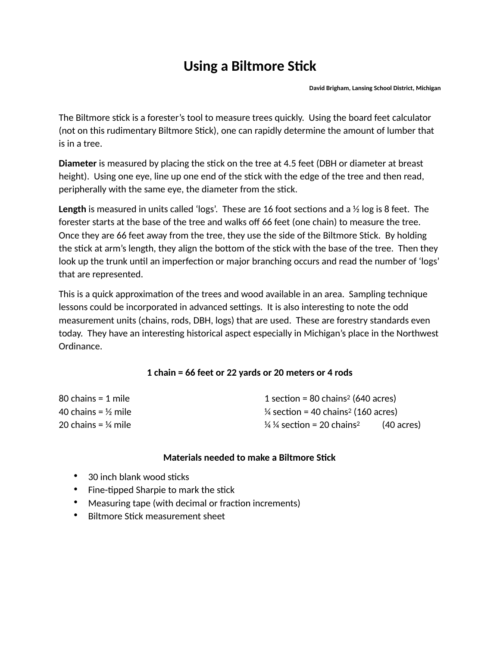## **Using a Biltmore Stick**

**David Brigham, Lansing School District, Michigan** 

The Biltmore stick is a forester's tool to measure trees quickly. Using the board feet calculator (not on this rudimentary Biltmore Stick), one can rapidly determine the amount of lumber that is in a tree.

**Diameter** is measured by placing the stick on the tree at 4.5 feet (DBH or diameter at breast height). Using one eye, line up one end of the stick with the edge of the tree and then read, peripherally with the same eye, the diameter from the stick.

**Length** is measured in units called 'logs'. These are 16 foot sections and a  $\frac{1}{2}$  log is 8 feet. The forester starts at the base of the tree and walks off 66 feet (one chain) to measure the tree. Once they are 66 feet away from the tree, they use the side of the Biltmore Stick. By holding the stick at arm's length, they align the bottom of the stick with the base of the tree. Then they look up the trunk until an imperfection or major branching occurs and read the number of 'logs' that are represented.

This is a quick approximation of the trees and wood available in an area. Sampling technique lessons could be incorporated in advanced settings. It is also interesting to note the odd measurement units (chains, rods, DBH, logs) that are used. These are forestry standards even today. They have an interesting historical aspect especially in Michigan's place in the Northwest Ordinance.

## **1 chain = 66 feet or 22 yards or 20 meters or 4 rods**

| $80$ chains = 1 mile           | 1 section = 80 chains <sup>2</sup> (640 acres)             |            |
|--------------------------------|------------------------------------------------------------|------------|
| 40 chains = $\frac{1}{2}$ mile | $\frac{1}{4}$ section = 40 chains <sup>2</sup> (160 acres) |            |
| 20 chains = $\frac{1}{4}$ mile | $\frac{1}{4}$ % section = 20 chains <sup>2</sup>           | (40 acres) |

## **Materials needed to make a Biltmore Stick**

- $\bullet$  30 inch blank wood sticks
- $\bullet$  Fine-tipped Sharpie to mark the stick
- Measuring tape (with decimal or fraction increments)
- Biltmore Stick measurement sheet